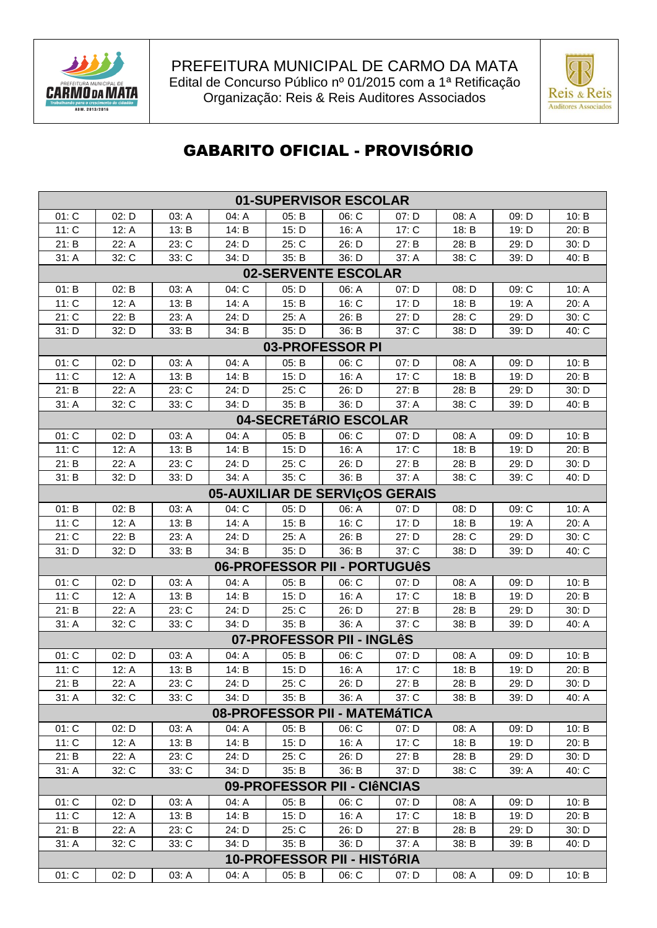



## **GABARITO OFICIAL - PROVISÓRIO**

| 01-SUPERVISOR ESCOLAR        |                             |                |                |                |                               |                                |                |                |                |  |  |  |
|------------------------------|-----------------------------|----------------|----------------|----------------|-------------------------------|--------------------------------|----------------|----------------|----------------|--|--|--|
| 01: C                        | 02: D                       | 03: A          | 04: A          | 05: B          | 06: C                         | 07: D                          | 08: A          | 09: D          | 10: B          |  |  |  |
| 11: C                        | 12: A                       | 13: B          | 14: B          | 15: D          | 16: A                         | 17: C                          | 18: B          | 19: D          | 20: B          |  |  |  |
| 21: B                        | 22: A                       | 23: C          | 24: D          | 25: C          | 26: D                         | 27: B                          | 28: B          | 29: D          | 30: D          |  |  |  |
| 31: A                        | 32: C                       | 33: C          | 34: D          | 35: B          | 36: D                         | 37: A                          | 38: C          | 39: D          | 40: B          |  |  |  |
| 02-SERVENTE ESCOLAR          |                             |                |                |                |                               |                                |                |                |                |  |  |  |
| 01: B                        | 02: B                       | 03: A          | 04: C          | 05: D          | 06: A                         | 07: D                          | 08: D          | 09: C          | 10: A          |  |  |  |
| 11: C                        | 12: A                       | 13: B          | 14: A          | 15: B          | 16: C                         | 17: D                          | 18: B          | 19: A          | 20: A          |  |  |  |
| 21: C                        | 22: B                       | 23: A          | 24: D          | 25: A          | 26: B                         | 27: D                          | 28: C          | 29: D          | 30: C          |  |  |  |
| 31: D                        | 32: D                       | 33: B          | 34: B          | 35: D          | 36: B                         | 37: C                          | 38: D          | 39: D          | 40: C          |  |  |  |
| 03-PROFESSOR PI              |                             |                |                |                |                               |                                |                |                |                |  |  |  |
| 01: C                        | 02: D                       | 03: A          | 04: A          | 05: B          | 06: C                         | 07: D                          | 08: A          | 09: D          | 10: B          |  |  |  |
| 11: C                        | 12: A                       | 13: B          | 14: B          | 15: D          | 16: A                         | 17: C                          | 18: B          | 19: D          | 20: B          |  |  |  |
| 21: B                        | 22: A                       | 23: C          | 24: D          | 25: C          | 26: D                         | 27: B                          | 28: B          | 29: D          | 30: D          |  |  |  |
| 31: A                        | 32: C                       | 33: C          | 34: D          | 35: B          | 36: D                         | 37: A                          | 38: C          | 39: D          | 40: B          |  |  |  |
| 04-SECRETÁRIO ESCOLAR        |                             |                |                |                |                               |                                |                |                |                |  |  |  |
| 01: C                        | 02: D                       | 03: A          | 04: A          | 05: B          | 06: C                         | 07: D                          | 08: A          | 09: D          | 10: B          |  |  |  |
| 11: C                        | 12: A                       | 13: B          | 14: B          | 15: D          | 16: A                         | 17: C                          | 18: B          | 19: D          | 20: B          |  |  |  |
| 21: B                        | 22: A                       | 23: C          | 24: D          | 25: C          | 26: D                         | 27: B                          | 28: B          | 29: D          | 30: D          |  |  |  |
| 31: B                        | 32: D                       | 33: D          | 34: A          | 35: C          | 36: B                         | 37: A                          | 38: C          | 39: C          | 40: D          |  |  |  |
|                              |                             |                |                |                |                               | 05-AUXILIAR DE SERVIÇOS GERAIS |                |                |                |  |  |  |
| 01: B                        | 02: B                       | 03: A          | 04: C          | 05: D<br>15: B | 06: A                         | 07: D                          | 08: D          | 09: C          | 10: A          |  |  |  |
| 11: C<br>21: C               | 12: A<br>22: B              | 13: B<br>23: A | 14: A<br>24: D | 25: A          | 16: C<br>26: B                | 17: D<br>27: D                 | 18: B<br>28: C | 19: A<br>29: D | 20: A<br>30: C |  |  |  |
| 31: D                        | 32: D                       | 33: B          | 34: B          | 35: D          | 36: B                         | 37: C                          | 38: D          | 39: D          | 40: C          |  |  |  |
| 06-PROFESSOR PII - PORTUGUêS |                             |                |                |                |                               |                                |                |                |                |  |  |  |
| 01: C                        | 02: D                       | 03: A          | 04: A          | 05: B          | 06: C                         | 07: D                          | 08: A          | 09: D          | 10: B          |  |  |  |
| 11: C                        | 12: A                       | 13: B          | 14: B          | 15: D          | 16: A                         | 17: C                          | 18: B          | 19: D          | 20: B          |  |  |  |
| 21: B                        | 22: A                       | 23: C          | 24: D          | 25: C          | 26: D                         | 27: B                          | 28: B          | 29: D          | 30: D          |  |  |  |
| 31: A                        | 32: C                       | 33: C          | 34: D          | 35: B          | 36: A                         | 37: C                          | 38: B          | 39: D          | 40: A          |  |  |  |
|                              |                             |                |                |                | 07-PROFESSOR PII - INGLêS     |                                |                |                |                |  |  |  |
| 01: C                        | 02: D                       | 03: A          | 04: A          | 05: B          | 06: C                         | 07: D                          | 08: A          | 09: D          | 10: B          |  |  |  |
| 11: C                        | 12: A                       | 13: B          | 14: B          | 15: D          | 16: A                         | 17: C                          | 18: B          | 19: D          | 20: B          |  |  |  |
| 21: B                        | 22: A                       | 23: C          | 24: D          | 25: C          | 26: D                         | 27: B                          | 28: B          | 29: D          | 30: D          |  |  |  |
| 31: A                        | 32: C                       | 33: C          | 34: D          | 35: B          | 36: A                         | 37: C                          | 38: B          | 39: D          | 40: A          |  |  |  |
|                              |                             |                |                |                | 08-PROFESSOR PII - MATEMÁTICA |                                |                |                |                |  |  |  |
| 01: C                        | 02: D                       | 03: A          | 04: A          | 05: B          | 06: C                         | 07: D                          | 08: A          | 09: D          | 10: B          |  |  |  |
| 11: C                        | 12: A                       | 13: B          | 14: B          | 15: D          | 16: A                         | 17: C                          | 18: B          | 19: D          | 20: B          |  |  |  |
| 21: B                        | 22: A                       | 23: C          | 24: D          | 25: C          | 26: D                         | 27: B                          | 28: B          | 29: D          | 30: D          |  |  |  |
| 31: A                        | 32: C                       | 33: C          | 34: D          | 35: B          | 36: B                         | 37: D                          | 38: C          | 39: A          | 40: C          |  |  |  |
|                              | 09-PROFESSOR PII - CIÊNCIAS |                |                |                |                               |                                |                |                |                |  |  |  |
| 01: C                        | 02: D                       | 03: A          | 04: A          | 05: B          | 06: C                         | 07: D                          | 08: A          | 09: D          | 10: B          |  |  |  |
| 11: C                        | 12: A                       | 13: B          | 14: B          | 15: D          | 16: A                         | 17: C                          | 18: B          | 19: D          | 20: B          |  |  |  |
| 21: B                        | 22: A                       | 23: C          | 24: D          | 25: C          | 26: D                         | 27: B                          | 28: B          | 29: D          | 30: D          |  |  |  |
| 31: A                        | 32: C                       | 33: C          | 34: D          | 35: B          | 36: D                         | 37: A                          | 38: B          | 39: B          | 40: D          |  |  |  |
|                              | 10-PROFESSOR PII - HISTÓRIA |                |                |                |                               |                                |                |                |                |  |  |  |
| 01: C                        | 02: D                       | 03: A          | 04: A          | 05: B          | 06: C                         | 07: D                          | 08: A          | 09: D          | 10: B          |  |  |  |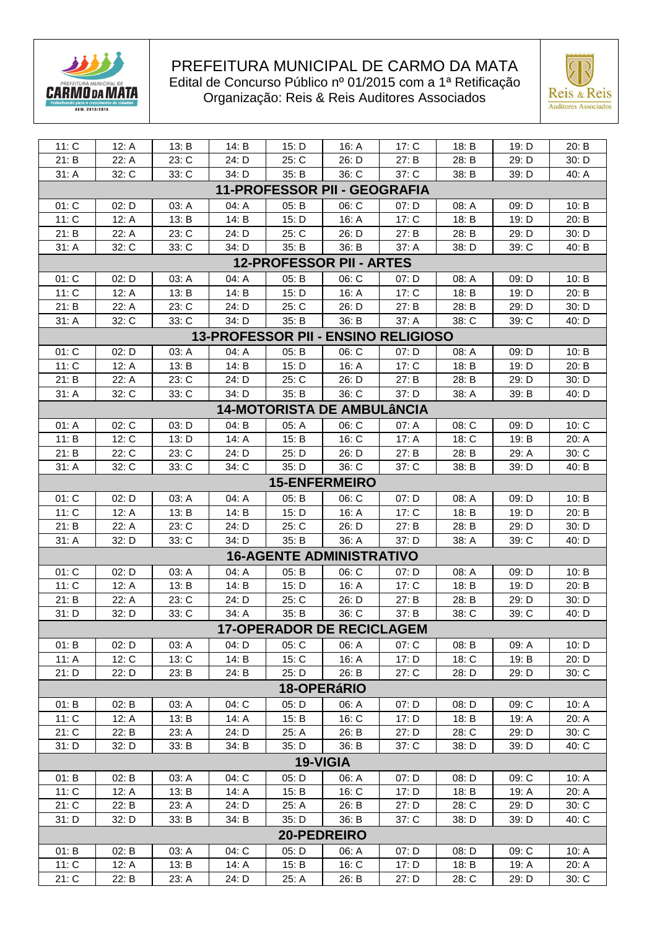



| 11: C                               | 12: A | 13: B | 14: B | 15: D | 16: A                             | 17: C   | 18: B   | 19: D | 20: B   |  |  |  |
|-------------------------------------|-------|-------|-------|-------|-----------------------------------|---------|---------|-------|---------|--|--|--|
| 21: B                               | 22: A | 23: C | 24: D | 25: C | 26: D                             | 27: B   | 28: B   | 29: D | 30: D   |  |  |  |
| 31: A                               | 32: C | 33: C | 34: D | 35: B | 36: C                             | 37: C   | 38: B   | 39: D | 40: A   |  |  |  |
| <b>11-PROFESSOR PII - GEOGRAFIA</b> |       |       |       |       |                                   |         |         |       |         |  |  |  |
| 01: C                               | 02: D | 03: A | 04: A | 05: B | 06: C                             | 07: D   | 08: A   | 09: D | 10: B   |  |  |  |
| 11: C                               | 12: A | 13: B | 14: B | 15: D | 16: A                             | 17: C   | 18: B   | 19: D | 20: B   |  |  |  |
| 21: B                               | 22: A | 23: C | 24: D | 25: C | 26: D                             | 27: B   | 28: B   | 29: D | 30: D   |  |  |  |
| 31: A                               | 32: C | 33: C | 34: D | 35: B | 36: B                             | 37: A   | 38: D   | 39: C | 40: B   |  |  |  |
| <b>12-PROFESSOR PII - ARTES</b>     |       |       |       |       |                                   |         |         |       |         |  |  |  |
| 01: C                               | 02: D | 03: A | 04: A | 05: B | 06: C                             | 07: D   | 08: A   | 09: D | 10: B   |  |  |  |
| 11: C                               | 12: A | 13: B | 14: B | 15: D | 16: A                             | 17: C   | 18: B   | 19: D | 20: B   |  |  |  |
| 21: B                               | 22: A | 23: C | 24: D | 25: C | 26: D                             | 27: B   | 28: B   | 29: D | 30: D   |  |  |  |
| 31: A                               | 32: C | 33: C | 34: D | 35: B | 36: B                             | 37: A   | 38: C   | 39: C | 40: D   |  |  |  |
| 13-PROFESSOR PII - ENSINO RELIGIOSO |       |       |       |       |                                   |         |         |       |         |  |  |  |
| 01: C                               | 02: D | 03: A | 04: A | 05: B | 06: C                             | 07: D   | 08: A   | 09: D | 10: B   |  |  |  |
| 11: C                               | 12: A | 13: B | 14: B | 15: D | 16: A                             | 17: C   | 18: B   | 19: D | 20: B   |  |  |  |
| 21: B                               | 22: A | 23: C | 24: D | 25: C | 26: D                             | 27: B   | 28: B   | 29: D | 30: D   |  |  |  |
| 31: A                               | 32: C | 33: C | 34: D | 35: B | $36:$ C                           | 37: D   | 38: A   | 39: B | 40: D   |  |  |  |
|                                     |       |       |       |       | <b>14-MOTORISTA DE AMBULÂNCIA</b> |         |         |       |         |  |  |  |
| 01: A                               | 02: C | 03: D | 04: B | 05: A | 06: C                             | 07: A   | 08: C   | 09: D | 10: C   |  |  |  |
| 11: B                               | 12: C | 13: D | 14: A | 15: B | 16: C                             | 17: A   | 18: C   | 19: B | 20: A   |  |  |  |
| 21: B                               | 22: C | 23: C | 24: D | 25: D | 26: D                             | 27: B   | 28: B   | 29: A | $30:$ C |  |  |  |
| 31: A                               | 32: C | 33: C | 34: C | 35: D | 36: C                             | 37: C   | 38: B   | 39: D | 40: B   |  |  |  |
| <b>15-ENFERMEIRO</b>                |       |       |       |       |                                   |         |         |       |         |  |  |  |
| 01: C                               | 02: D | 03: A | 04: A | 05: B | 06: C                             | 07: D   | 08: A   | 09: D | 10: B   |  |  |  |
| 11: C                               | 12: A | 13: B | 14: B | 15: D | 16: A                             | 17: C   | 18: B   | 19: D | 20: B   |  |  |  |
| 21: B                               | 22: A | 23: C | 24: D | 25: C | 26: D                             | 27: B   | 28: B   | 29: D | 30: D   |  |  |  |
| 31: A                               | 32: D | 33: C | 34: D | 35: B | 36: A                             | 37: D   | 38: A   | 39: C | 40: D   |  |  |  |
|                                     |       |       |       |       | <b>16-AGENTE ADMINISTRATIVO</b>   |         |         |       |         |  |  |  |
| 01: C                               | 02: D | 03: A | 04: A | 05: B | 06: C                             | 07: D   | 08: A   | 09: D | 10: B   |  |  |  |
| 11: C                               | 12: A | 13: B | 14: B | 15: D | 16: A                             | 17: C   | 18: B   | 19: D | 20: B   |  |  |  |
| 21: B                               | 22: A | 23: C | 24: D | 25: C | 26: D                             | 27: B   | 28: B   | 29: D | 30: D   |  |  |  |
| 31: D                               | 32: D | 33: C | 34: A | 35: B | 36: C                             | 37: B   | 38: C   | 39: C | 40: D   |  |  |  |
|                                     |       |       |       |       | <b>17-OPERADOR DE RECICLAGEM</b>  |         |         |       |         |  |  |  |
| 01: B                               | 02: D | 03: A | 04: D | 05: C | 06: A                             | 07: C   | 08: B   | 09. A | 10: D   |  |  |  |
| 11: $A$                             | 12: C | 13: C | 14: B | 15: C | 16: A                             | 17: D   | $18:$ C | 19: B | 20: D   |  |  |  |
| 21: D                               | 22: D | 23: B | 24: B | 25: D | 26: B                             | 27: C   | 28: D   | 29: D | 30: C   |  |  |  |
|                                     |       |       |       |       | 18-OPERÁRIO                       |         |         |       |         |  |  |  |
| 01: B                               | 02: B | 03: A | 04: C | 05: D | 06: A                             | 07: D   | 08: D   | 09: C | 10: $A$ |  |  |  |
| 11: C                               | 12: A | 13: B | 14: A | 15: B | $16:$ C                           | 17: D   | 18: B   | 19: A | 20: A   |  |  |  |
| 21: C                               | 22: B | 23: A | 24: D | 25: A | 26: B                             | 27: D   | 28: C   | 29: D | 30: C   |  |  |  |
| 31: D                               | 32: D | 33: B | 34: B | 35: D | 36: B                             | 37: C   | 38: D   | 39: D | 40: C   |  |  |  |
|                                     |       |       |       |       | 19-VIGIA                          |         |         |       |         |  |  |  |
| 01: B                               | 02: B | 03: A | 04: C | 05: D | 06: A                             | 07: D   | 08: D   | 09: C | 10: A   |  |  |  |
| 11: C                               | 12: A | 13: B | 14: A | 15: B | 16: C                             | 17: D   | 18: B   | 19. A | 20: A   |  |  |  |
| 21: C                               | 22: B | 23: A | 24: D | 25: A | 26: B                             | 27: D   | 28: C   | 29: D | 30: C   |  |  |  |
| 31: D                               | 32: D | 33: B | 34: B | 35: D | 36: B                             | $37:$ C | 38: D   | 39: D | 40: C   |  |  |  |
|                                     |       |       |       |       | <b>20-PEDREIRO</b>                |         |         |       |         |  |  |  |
| 01: B                               | 02: B | 03: A | 04: C | 05: D | 06: A                             | 07: D   | 08: D   | 09: C | 10: A   |  |  |  |
| 11: C                               | 12: A | 13: B | 14: A | 15: B | 16: C                             | 17: D   | 18: B   | 19: A | 20: A   |  |  |  |
| 21: C                               | 22: B | 23: A | 24: D | 25: A | 26: B                             | 27: D   | 28: C   | 29: D | 30: C   |  |  |  |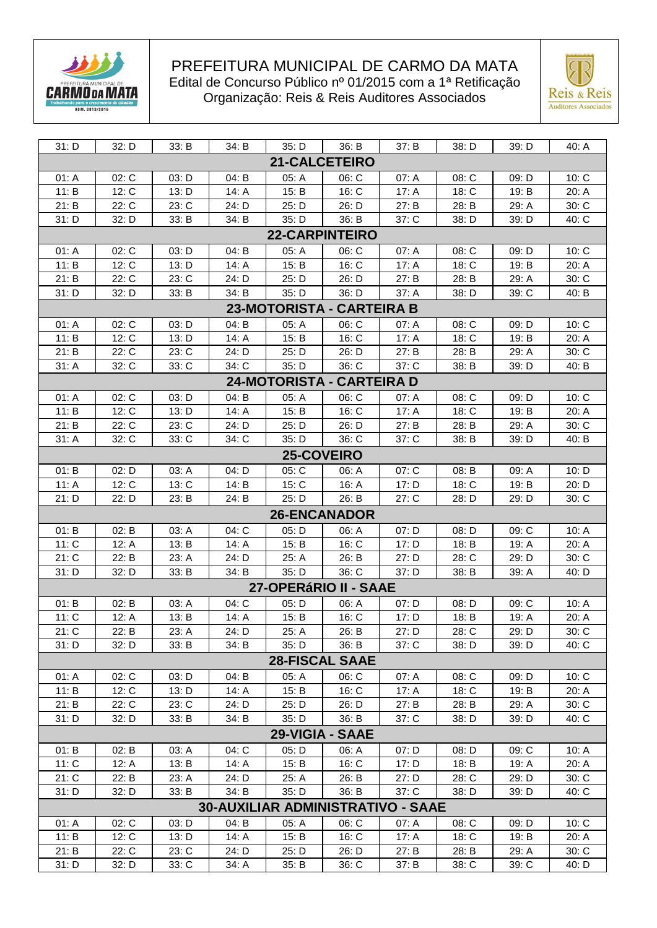



| 31: D                                                                                                 | 32: D             | 33: B          | 34: B          | 35: D                 | 36: B           | 37: B                                    | 38: D              | 39: D          | 40: A              |  |  |  |
|-------------------------------------------------------------------------------------------------------|-------------------|----------------|----------------|-----------------------|-----------------|------------------------------------------|--------------------|----------------|--------------------|--|--|--|
|                                                                                                       |                   |                |                | <b>21-CALCETEIRO</b>  |                 |                                          |                    |                |                    |  |  |  |
| 01: A<br>02: C<br>03: D<br>04: B<br>05: A<br>06: C<br>07: A<br>08: C<br>09: D<br>10: C                |                   |                |                |                       |                 |                                          |                    |                |                    |  |  |  |
| 11: B                                                                                                 | 12: C             | 13: D          | 14: A          | 15: B                 | 16: C           | 17: A                                    | 18: C              | 19: B          | 20: A              |  |  |  |
| 21: B                                                                                                 | 22: C             | 23: C          | 24: D          | 25: D                 | 26: D           | 27: B                                    | 28: B              | 29: A          | 30: C              |  |  |  |
| 31: D                                                                                                 | 32: D             | 33: B          | 34: B          | 35: D                 | 36: B           | 37: C                                    | 38: D              | 39: D          | 40: C              |  |  |  |
|                                                                                                       |                   |                |                |                       |                 |                                          |                    |                |                    |  |  |  |
| <b>22-CARPINTEIRO</b><br>02: C<br>03: D<br>04: B<br>05: A<br>06: C<br>09: D<br>07: A<br>08:C<br>10: C |                   |                |                |                       |                 |                                          |                    |                |                    |  |  |  |
| 01: A                                                                                                 |                   |                |                |                       | 16: C           |                                          |                    |                |                    |  |  |  |
| 11: B<br>21: B                                                                                        | 12: C             | 13: D          | 14: A          | 15: B                 |                 | 17: A                                    | 18: C              | 19: B          | 20: A              |  |  |  |
| 31: D                                                                                                 | 22: C<br>32: D    | 23: C<br>33: B | 24: D<br>34: B | 25: D<br>35: D        | 26: D<br>36: D  | 27: B<br>37: A                           | 28: B<br>38: D     | 29: A<br>39: C | 30: C<br>40: B     |  |  |  |
|                                                                                                       |                   |                |                |                       |                 |                                          |                    |                |                    |  |  |  |
| 23-MOTORISTA - CARTEIRA B                                                                             |                   |                |                |                       |                 |                                          |                    |                |                    |  |  |  |
| 01: A                                                                                                 | 02: C             | 03: D          | 04: B          | 05: A                 | 06: C           | 07: A                                    | 08: C              | 09: D          | 10: C              |  |  |  |
| 11: B                                                                                                 | 12: C             | 13: D          | 14: A          | 15: B                 | 16: C           | 17: A                                    | 18: C              | 19: B          | 20: A              |  |  |  |
| 21: B                                                                                                 | 22: C             | 23: C          | 24: D          | 25: D                 | 26: D           | 27: B                                    | 28: B              | 29: A          | 30: C              |  |  |  |
| 31: A                                                                                                 | 32: C             | 33: C          | 34: C          | 35: D                 | 36: C           | 37: C                                    | 38: B              | 39: D          | 40: B              |  |  |  |
| 24-MOTORISTA - CARTEIRA D                                                                             |                   |                |                |                       |                 |                                          |                    |                |                    |  |  |  |
| 01: A                                                                                                 | 02: C             | 03: D          | 04: B          | 05: A                 | 06: C           | 07: A                                    | 08: C              | 09: D          | 10: C              |  |  |  |
| 11: B                                                                                                 | 12: C             | 13: D          | 14: A          | 15: B                 | 16: C           | 17: A                                    | 18: C              | 19: B          | 20: A              |  |  |  |
| 21: B                                                                                                 | 22: C             | 23: C          | 24: D          | 25: D                 | 26: D           | 27: B                                    | 28: B              | 29: A          | 30:C               |  |  |  |
| 31: A                                                                                                 | 32: C             | 33: C          | 34: C          | 35: D                 | 36: C           | 37: C                                    | 38: B              | 39: D          | 40: B              |  |  |  |
|                                                                                                       | <b>25-COVEIRO</b> |                |                |                       |                 |                                          |                    |                |                    |  |  |  |
| 01: B                                                                                                 | 02: D             | 03: A          | 04: D          | 05: C                 | 06: A           | 07: C                                    | 08: B              | 09: A          | 10: D              |  |  |  |
| 11: A                                                                                                 | 12: C             | 13: C          | 14: B          | 15: C                 | 16: A           | 17: D                                    | 18: C              | 19: B          | 20: D              |  |  |  |
| 21: D                                                                                                 | 22: D             | 23: B          | 24: B          | 25: D                 | 26: B           | 27: C                                    | 28: D              | 29: D          | 30: C              |  |  |  |
| <b>26-ENCANADOR</b>                                                                                   |                   |                |                |                       |                 |                                          |                    |                |                    |  |  |  |
| 01: B                                                                                                 | 02: B             | 03: A          | 04: C          | 05: D                 | 06: A           | 07: D                                    | 08: D              | 09: C          | 10: A              |  |  |  |
| 11: C                                                                                                 | 12: A             | 13: B          | 14: $A$        | 15: B                 | 16: C           | 17: D                                    | 18: B              | 19: A          | 20: A              |  |  |  |
| 21: C                                                                                                 | 22: B             | 23: A          | 24: D          | 25: A                 | 26: B           | 27: D                                    | 28: C              | 29: D          | 30: C              |  |  |  |
| 31: D                                                                                                 | 32: D             | 33: B          | 34: B          | 35: D                 | 36: C           | 37: D                                    | 38: B              | 39: A          | 40: D              |  |  |  |
|                                                                                                       |                   |                |                | 27-OPERÁRIO II - SAAE |                 |                                          |                    |                |                    |  |  |  |
| 01: B                                                                                                 | 02: B             | 03: A          | 04: C          | 05: D                 | 06: A           | 07: D                                    | 08: D              | 09: C          | 10: A              |  |  |  |
| 11: C                                                                                                 | 12: A             | 13: B          | 14: A          | 15: B                 | $16:$ C         | 17: D                                    | 18: B              | 19: A          | 20: A              |  |  |  |
| 21: C                                                                                                 | 22: B             | 23: A          | 24: D          | 25: A                 | 26: B           | 27: D                                    | $28: \overline{C}$ | 29: D          | $30: \overline{C}$ |  |  |  |
| 31: D                                                                                                 | 32: D             | 33: B          | 34: B          | 35: D                 | 36: B           | 37: C                                    | 38: D              | 39: D          | 40: C              |  |  |  |
|                                                                                                       |                   |                |                | <b>28-FISCAL SAAE</b> |                 |                                          |                    |                |                    |  |  |  |
| 01: A                                                                                                 | 02: C             | 03: D          | 04: B          | 05: A                 | 06: C           | 07: A                                    | 08: C              | 09: D          | 10: C              |  |  |  |
| 11: B                                                                                                 | 12: C             | 13: D          | 14: A          | 15: B                 | 16: C           | 17: A                                    | 18: C              | 19: B          | 20: A              |  |  |  |
| 21: B                                                                                                 | 22: C             | 23: C          | 24: D          | 25: D                 | 26: D           | 27: B                                    | 28: B              | 29: A          | 30: C              |  |  |  |
| 31: D                                                                                                 |                   |                |                |                       |                 |                                          |                    |                |                    |  |  |  |
|                                                                                                       | 32: D             | 33: B          | 34: B          | 35: D                 | 36: B           | 37: C                                    | 38: D              | 39: D          | 40: C              |  |  |  |
|                                                                                                       |                   |                |                |                       | 29-VIGIA - SAAE |                                          |                    |                |                    |  |  |  |
| 01: B                                                                                                 | 02: B             | 03: A          | 04: C          | 05: D                 | 06: A           | 07: D                                    | 08: D              | 09: C          | 10: A              |  |  |  |
| 11: C                                                                                                 | 12: A             | 13: B          | 14: $A$        | 15: B                 | 16: C           | 17: D                                    | 18: B              | 19: A          | 20: A              |  |  |  |
| 21: C                                                                                                 | 22: B             | 23: A          | 24: D          | 25: A                 | 26: B           | 27: D                                    | 28: C              | 29: D          | 30: C              |  |  |  |
| 31: D                                                                                                 | 32: D             | 33: B          | 34: B          | 35: D                 | 36: B           | 37: C                                    | 38: D              | 39: D          | 40: C              |  |  |  |
|                                                                                                       |                   |                |                |                       |                 | <b>30-AUXILIAR ADMINISTRATIVO - SAAE</b> |                    |                |                    |  |  |  |
| 01: A                                                                                                 | 02: C             | 03: D          | 04: B          | 05: A                 | 06: C           | 07: A                                    | 08: C              | 09: D          | 10: C              |  |  |  |
| 11: B                                                                                                 | 12: C             | 13: D          | 14: A          | 15: B                 | 16: C           | 17: A                                    | 18: C              | 19: B          | 20: A              |  |  |  |
| 21: B                                                                                                 | 22: C             | 23: C          | 24: D          | 25: D                 | 26: D           | 27: B                                    | 28: B              | 29: A          | 30: C              |  |  |  |